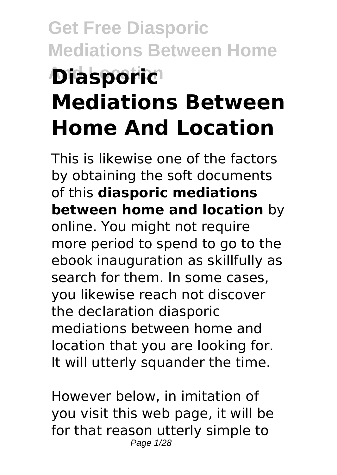# **Get Free Diasporic Mediations Between Home And Location Diasporic Mediations Between Home And Location**

This is likewise one of the factors by obtaining the soft documents of this **diasporic mediations between home and location** by online. You might not require more period to spend to go to the ebook inauguration as skillfully as search for them. In some cases, you likewise reach not discover the declaration diasporic mediations between home and location that you are looking for. It will utterly squander the time.

However below, in imitation of you visit this web page, it will be for that reason utterly simple to Page 1/28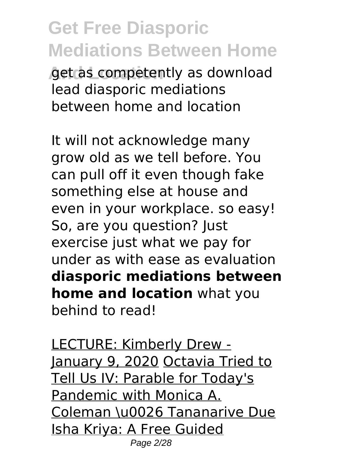**And Location** get as competently as download lead diasporic mediations between home and location

It will not acknowledge many grow old as we tell before. You can pull off it even though fake something else at house and even in your workplace. so easy! So, are you question? Just exercise just what we pay for under as with ease as evaluation **diasporic mediations between home and location** what you behind to read!

LECTURE: Kimberly Drew - January 9, 2020 Octavia Tried to Tell Us IV: Parable for Today's Pandemic with Monica A. Coleman \u0026 Tananarive Due Isha Kriya: A Free Guided Page 2/28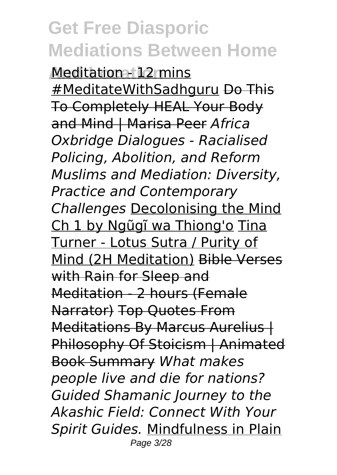**And Location** Meditation - 12 mins #MeditateWithSadhguru Do This To Completely HEAL Your Body and Mind | Marisa Peer *Africa Oxbridge Dialogues - Racialised Policing, Abolition, and Reform Muslims and Mediation: Diversity, Practice and Contemporary Challenges* Decolonising the Mind Ch 1 by Ngũgĩ wa Thiong'o Tina Turner - Lotus Sutra / Purity of Mind (2H Meditation) Bible Verses with Rain for Sleep and Meditation - 2 hours (Female Narrator) Top Quotes From Meditations By Marcus Aurelius | Philosophy Of Stoicism | Animated Book Summary *What makes people live and die for nations? Guided Shamanic Journey to the Akashic Field: Connect With Your Spirit Guides.* Mindfulness in Plain Page 3/28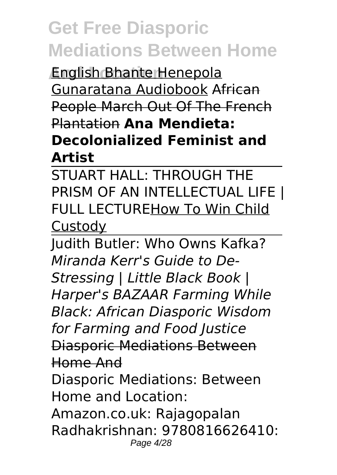**And Location** English Bhante Henepola Gunaratana Audiobook African People March Out Of The French Plantation **Ana Mendieta: Decolonialized Feminist and Artist**

STUART HALL: THROUGH THE PRISM OF AN INTELLECTUAL LIFE | FULL LECTUREHow To Win Child **Custody** 

Judith Butler: Who Owns Kafka? *Miranda Kerr's Guide to De-Stressing | Little Black Book | Harper's BAZAAR Farming While Black: African Diasporic Wisdom for Farming and Food Justice* Diasporic Mediations Between Home And Diasporic Mediations: Between Home and Location:

Amazon.co.uk: Rajagopalan Radhakrishnan: 9780816626410: Page 4/28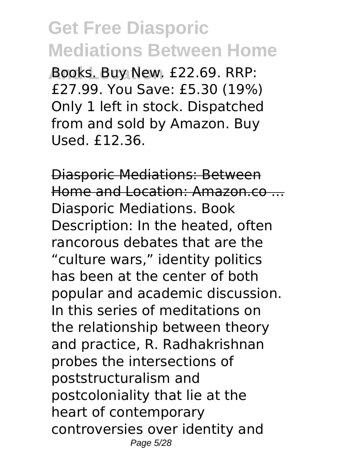**And Location** Books. Buy New. £22.69. RRP: £27.99. You Save: £5.30 (19%) Only 1 left in stock. Dispatched from and sold by Amazon. Buy Used. £12.36.

Diasporic Mediations: Between Home and Location: Amazon.co ... Diasporic Mediations. Book Description: In the heated, often rancorous debates that are the "culture wars," identity politics has been at the center of both popular and academic discussion. In this series of meditations on the relationship between theory and practice, R. Radhakrishnan probes the intersections of poststructuralism and postcoloniality that lie at the heart of contemporary controversies over identity and Page 5/28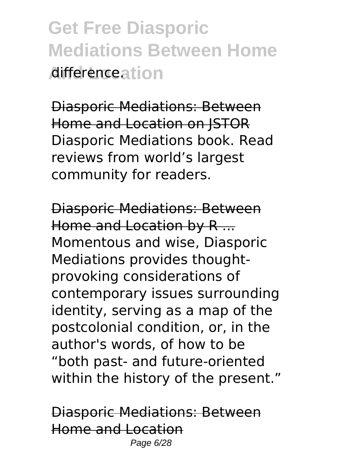**Get Free Diasporic Mediations Between Home And Location** difference.

Diasporic Mediations: Between Home and Location on JSTOR Diasporic Mediations book. Read reviews from world's largest community for readers.

Diasporic Mediations: Between Home and Location by R ... Momentous and wise, Diasporic Mediations provides thoughtprovoking considerations of contemporary issues surrounding identity, serving as a map of the postcolonial condition, or, in the author's words, of how to be "both past- and future-oriented within the history of the present."

Diasporic Mediations: Between Home and Location Page 6/28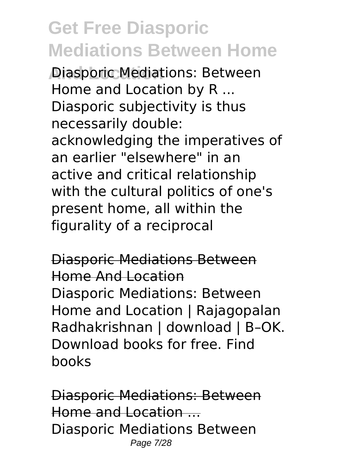**Diasporic Mediations: Between** Home and Location by R ... Diasporic subjectivity is thus necessarily double: acknowledging the imperatives of an earlier "elsewhere" in an active and critical relationship with the cultural politics of one's present home, all within the figurality of a reciprocal

Diasporic Mediations Between Home And Location Diasporic Mediations: Between Home and Location | Rajagopalan Radhakrishnan | download | B–OK. Download books for free. Find books

Diasporic Mediations: Between Home and Location ... Diasporic Mediations Between Page 7/28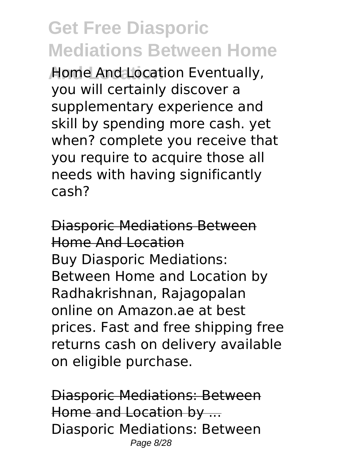**And Location Eventually,** you will certainly discover a supplementary experience and skill by spending more cash. yet when? complete you receive that you require to acquire those all needs with having significantly cash?

Diasporic Mediations Between Home And Location Buy Diasporic Mediations: Between Home and Location by Radhakrishnan, Rajagopalan online on Amazon.ae at best prices. Fast and free shipping free returns cash on delivery available on eligible purchase.

Diasporic Mediations: Between Home and Location by ... Diasporic Mediations: Between Page 8/28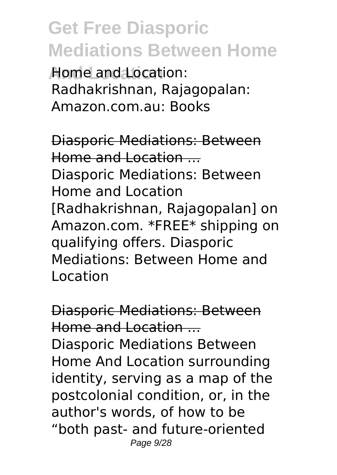**And Location** Home and Location: Radhakrishnan, Rajagopalan: Amazon.com.au: Books

Diasporic Mediations: Between Home and Location ... Diasporic Mediations: Between Home and Location [Radhakrishnan, Rajagopalan] on Amazon.com. \*FREE\* shipping on qualifying offers. Diasporic Mediations: Between Home and Location

Diasporic Mediations: Between Home and Location ... Diasporic Mediations Between Home And Location surrounding identity, serving as a map of the postcolonial condition, or, in the author's words, of how to be "both past- and future-oriented Page 9/28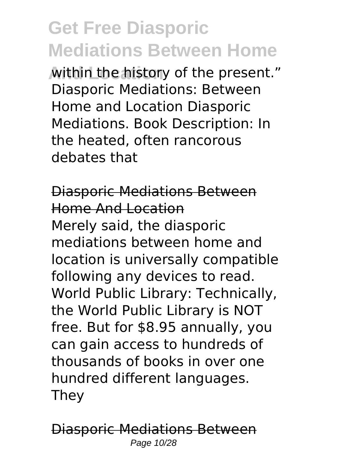**And Location** within the history of the present." Diasporic Mediations: Between Home and Location Diasporic Mediations. Book Description: In the heated, often rancorous debates that

Diasporic Mediations Between Home And Location Merely said, the diasporic mediations between home and location is universally compatible following any devices to read. World Public Library: Technically, the World Public Library is NOT free. But for \$8.95 annually, you can gain access to hundreds of thousands of books in over one hundred different languages. They

Diasporic Mediations Between Page 10/28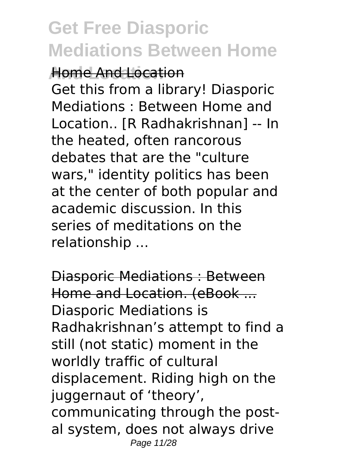**And Location** Home And Location Get this from a library! Diasporic Mediations : Between Home and Location.. [R Radhakrishnan] -- In the heated, often rancorous debates that are the "culture wars," identity politics has been at the center of both popular and academic discussion. In this series of meditations on the relationship ...

Diasporic Mediations : Between Home and Location. (eBook ... Diasporic Mediations is Radhakrishnan's attempt to find a still (not static) moment in the worldly traffic of cultural displacement. Riding high on the juggernaut of 'theory', communicating through the postal system, does not always drive Page 11/28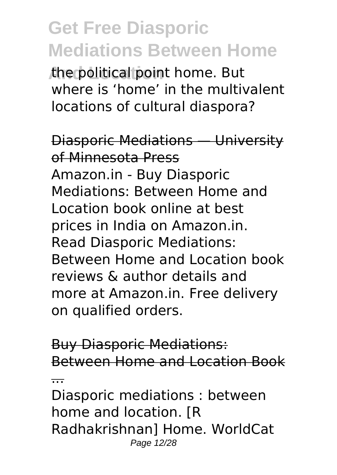**And Location** the political point home. But where is 'home' in the multivalent locations of cultural diaspora?

Diasporic Mediations — University of Minnesota Press Amazon.in - Buy Diasporic Mediations: Between Home and Location book online at best prices in India on Amazon.in. Read Diasporic Mediations: Between Home and Location book reviews & author details and more at Amazon.in. Free delivery on qualified orders.

Buy Diasporic Mediations: Between Home and Location Book

...

Diasporic mediations : between home and location. [R Radhakrishnan] Home. WorldCat Page 12/28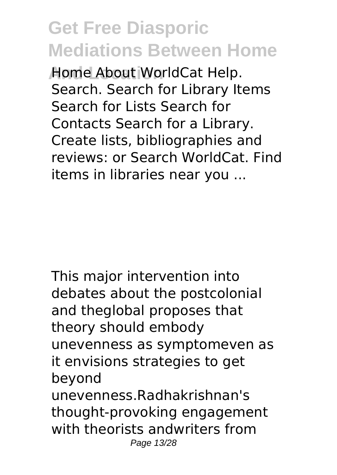**Home About WorldCat Help.** Search. Search for Library Items Search for Lists Search for Contacts Search for a Library. Create lists, bibliographies and reviews: or Search WorldCat. Find items in libraries near you ...

This major intervention into debates about the postcolonial and theglobal proposes that theory should embody unevenness as symptomeven as it envisions strategies to get beyond unevenness.Radhakrishnan's thought-provoking engagement with theorists andwriters from Page 13/28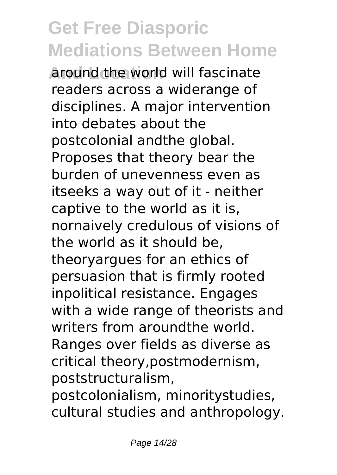**Around the world will fascinate** readers across a widerange of disciplines. A major intervention into debates about the postcolonial andthe global. Proposes that theory bear the burden of unevenness even as itseeks a way out of it - neither captive to the world as it is, nornaively credulous of visions of the world as it should be, theoryargues for an ethics of persuasion that is firmly rooted inpolitical resistance. Engages with a wide range of theorists and writers from aroundthe world. Ranges over fields as diverse as critical theory,postmodernism, poststructuralism, postcolonialism, minoritystudies,

cultural studies and anthropology.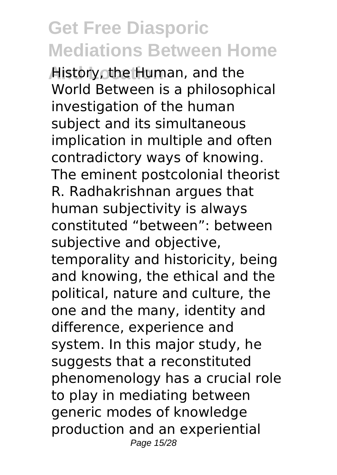**And Human, and the Human, and the** World Between is a philosophical investigation of the human subject and its simultaneous implication in multiple and often contradictory ways of knowing. The eminent postcolonial theorist R. Radhakrishnan argues that human subjectivity is always constituted "between": between subjective and objective, temporality and historicity, being and knowing, the ethical and the political, nature and culture, the one and the many, identity and difference, experience and system. In this major study, he suggests that a reconstituted phenomenology has a crucial role to play in mediating between generic modes of knowledge production and an experiential Page 15/28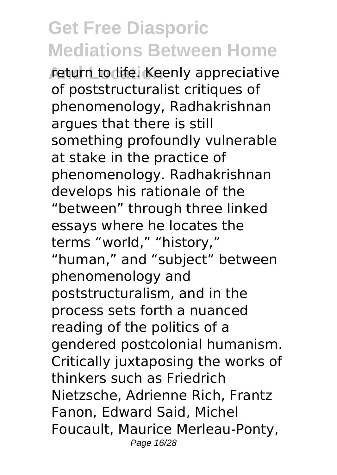*return to life. Keenly appreciative* of poststructuralist critiques of phenomenology, Radhakrishnan argues that there is still something profoundly vulnerable at stake in the practice of phenomenology. Radhakrishnan develops his rationale of the

"between" through three linked essays where he locates the terms "world," "history," "human," and "subject" between phenomenology and poststructuralism, and in the process sets forth a nuanced reading of the politics of a gendered postcolonial humanism. Critically juxtaposing the works of thinkers such as Friedrich Nietzsche, Adrienne Rich, Frantz Fanon, Edward Said, Michel Foucault, Maurice Merleau-Ponty, Page 16/28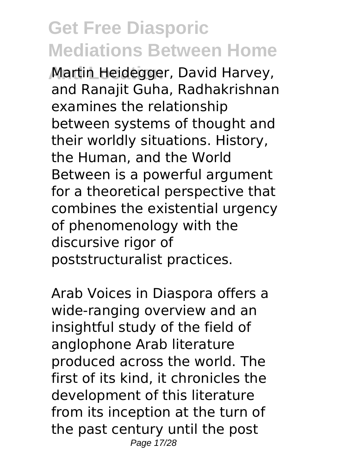**And Location** Martin Heidegger, David Harvey, and Ranajit Guha, Radhakrishnan examines the relationship between systems of thought and their worldly situations. History, the Human, and the World Between is a powerful argument for a theoretical perspective that combines the existential urgency of phenomenology with the discursive rigor of poststructuralist practices.

Arab Voices in Diaspora offers a wide-ranging overview and an insightful study of the field of anglophone Arab literature produced across the world. The first of its kind, it chronicles the development of this literature from its inception at the turn of the past century until the post Page 17/28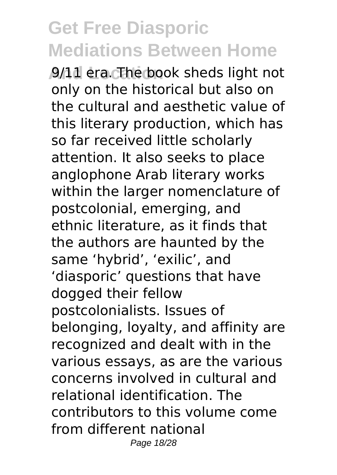**And Location** 9/11 era. The book sheds light not only on the historical but also on the cultural and aesthetic value of this literary production, which has so far received little scholarly attention. It also seeks to place anglophone Arab literary works within the larger nomenclature of postcolonial, emerging, and ethnic literature, as it finds that the authors are haunted by the same 'hybrid', 'exilic', and 'diasporic' questions that have dogged their fellow postcolonialists. Issues of belonging, loyalty, and affinity are recognized and dealt with in the various essays, as are the various concerns involved in cultural and relational identification. The contributors to this volume come from different national Page 18/28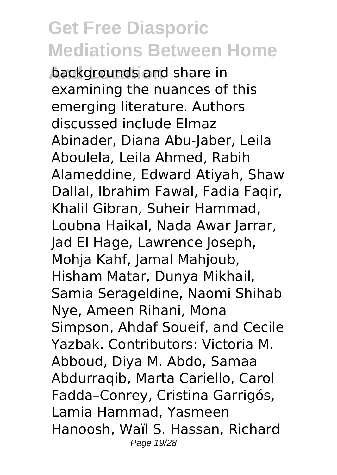**backgrounds and share in** examining the nuances of this emerging literature. Authors discussed include Elmaz Abinader, Diana Abu-Jaber, Leila Aboulela, Leila Ahmed, Rabih Alameddine, Edward Atiyah, Shaw Dallal, Ibrahim Fawal, Fadia Faqir, Khalil Gibran, Suheir Hammad, Loubna Haikal, Nada Awar Jarrar, Jad El Hage, Lawrence Joseph, Mohja Kahf, Jamal Mahjoub, Hisham Matar, Dunya Mikhail, Samia Serageldine, Naomi Shihab Nye, Ameen Rihani, Mona Simpson, Ahdaf Soueif, and Cecile Yazbak. Contributors: Victoria M. Abboud, Diya M. Abdo, Samaa Abdurraqib, Marta Cariello, Carol Fadda–Conrey, Cristina Garrigós, Lamia Hammad, Yasmeen Hanoosh, Waïl S. Hassan, Richard Page 19/28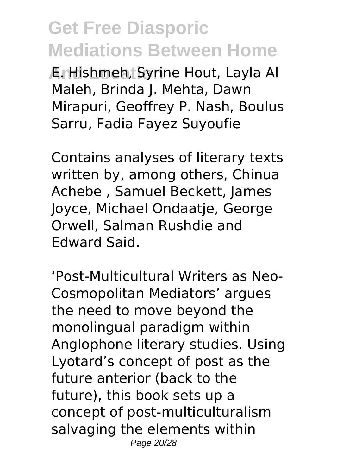**And Location** E. Hishmeh, Syrine Hout, Layla Al Maleh, Brinda J. Mehta, Dawn Mirapuri, Geoffrey P. Nash, Boulus Sarru, Fadia Fayez Suyoufie

Contains analyses of literary texts written by, among others, Chinua Achebe , Samuel Beckett, James Joyce, Michael Ondaatje, George Orwell, Salman Rushdie and Edward Said.

'Post-Multicultural Writers as Neo-Cosmopolitan Mediators' argues the need to move beyond the monolingual paradigm within Anglophone literary studies. Using Lyotard's concept of post as the future anterior (back to the future), this book sets up a concept of post-multiculturalism salvaging the elements within Page 20/28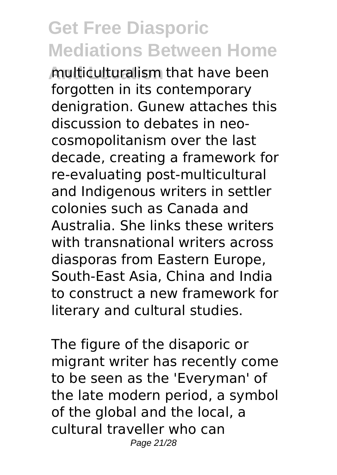**And Location** multiculturalism that have been forgotten in its contemporary denigration. Gunew attaches this discussion to debates in neocosmopolitanism over the last decade, creating a framework for re-evaluating post-multicultural and Indigenous writers in settler colonies such as Canada and Australia. She links these writers with transnational writers across diasporas from Eastern Europe, South-East Asia, China and India to construct a new framework for literary and cultural studies.

The figure of the disaporic or migrant writer has recently come to be seen as the 'Everyman' of the late modern period, a symbol of the global and the local, a cultural traveller who can Page 21/28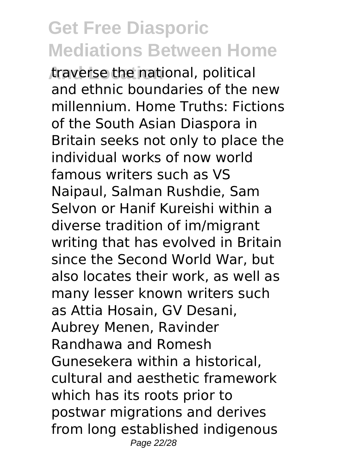**And Location** traverse the national, political and ethnic boundaries of the new millennium. Home Truths: Fictions of the South Asian Diaspora in Britain seeks not only to place the individual works of now world famous writers such as VS Naipaul, Salman Rushdie, Sam Selvon or Hanif Kureishi within a diverse tradition of im/migrant writing that has evolved in Britain since the Second World War, but also locates their work, as well as many lesser known writers such as Attia Hosain, GV Desani, Aubrey Menen, Ravinder Randhawa and Romesh Gunesekera within a historical, cultural and aesthetic framework which has its roots prior to postwar migrations and derives from long established indigenous Page 22/28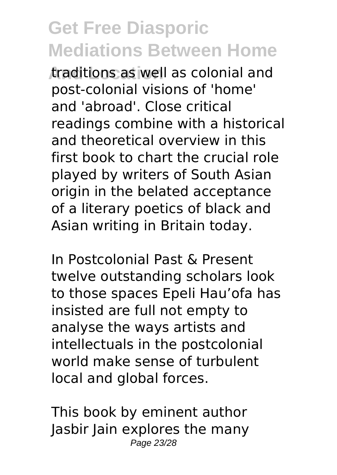**And Location** traditions as well as colonial and post-colonial visions of 'home' and 'abroad'. Close critical readings combine with a historical and theoretical overview in this first book to chart the crucial role played by writers of South Asian origin in the belated acceptance of a literary poetics of black and Asian writing in Britain today.

In Postcolonial Past & Present twelve outstanding scholars look to those spaces Epeli Hau'ofa has insisted are full not empty to analyse the ways artists and intellectuals in the postcolonial world make sense of turbulent local and global forces.

This book by eminent author Jasbir Jain explores the many Page 23/28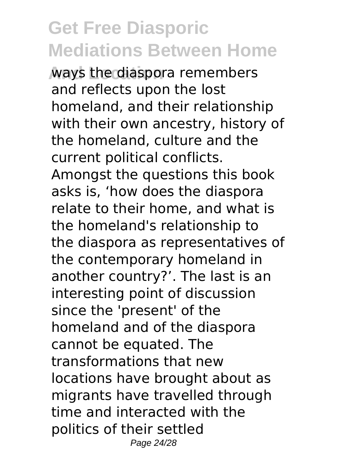**And Location** ways the diaspora remembers and reflects upon the lost homeland, and their relationship with their own ancestry, history of the homeland, culture and the current political conflicts. Amongst the questions this book asks is, 'how does the diaspora relate to their home, and what is the homeland's relationship to the diaspora as representatives of the contemporary homeland in another country?'. The last is an interesting point of discussion since the 'present' of the homeland and of the diaspora cannot be equated. The transformations that new locations have brought about as migrants have travelled through time and interacted with the politics of their settled Page 24/28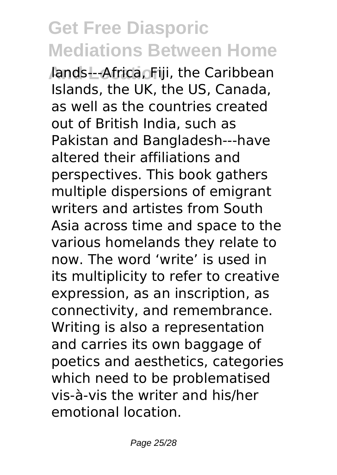**Jands---Africa, Fiji, the Caribbean** Islands, the UK, the US, Canada, as well as the countries created out of British India, such as Pakistan and Bangladesh---have altered their affiliations and perspectives. This book gathers multiple dispersions of emigrant writers and artistes from South Asia across time and space to the various homelands they relate to now. The word 'write' is used in its multiplicity to refer to creative expression, as an inscription, as connectivity, and remembrance. Writing is also a representation and carries its own baggage of poetics and aesthetics, categories which need to be problematised vis-à-vis the writer and his/her emotional location.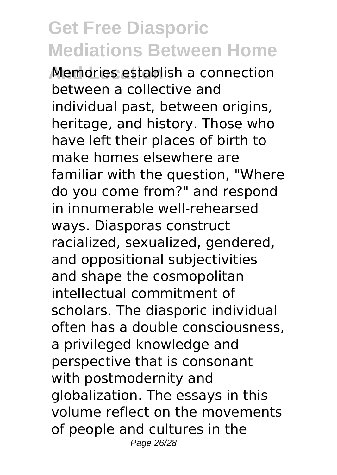**And Location** Memories establish a connection between a collective and individual past, between origins, heritage, and history. Those who have left their places of birth to make homes elsewhere are familiar with the question, "Where do you come from?" and respond in innumerable well-rehearsed ways. Diasporas construct racialized, sexualized, gendered, and oppositional subjectivities and shape the cosmopolitan intellectual commitment of scholars. The diasporic individual often has a double consciousness, a privileged knowledge and perspective that is consonant with postmodernity and globalization. The essays in this volume reflect on the movements of people and cultures in the Page 26/28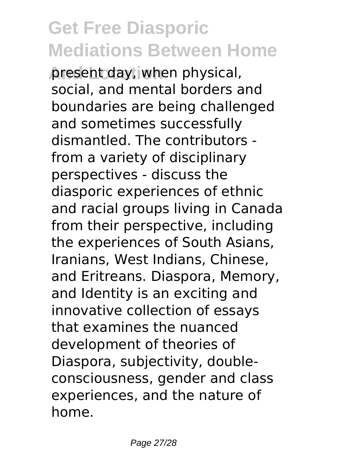**present day, when physical,** social, and mental borders and boundaries are being challenged and sometimes successfully dismantled. The contributors from a variety of disciplinary perspectives - discuss the diasporic experiences of ethnic and racial groups living in Canada from their perspective, including the experiences of South Asians, Iranians, West Indians, Chinese, and Eritreans. Diaspora, Memory, and Identity is an exciting and innovative collection of essays that examines the nuanced development of theories of Diaspora, subjectivity, doubleconsciousness, gender and class experiences, and the nature of home.